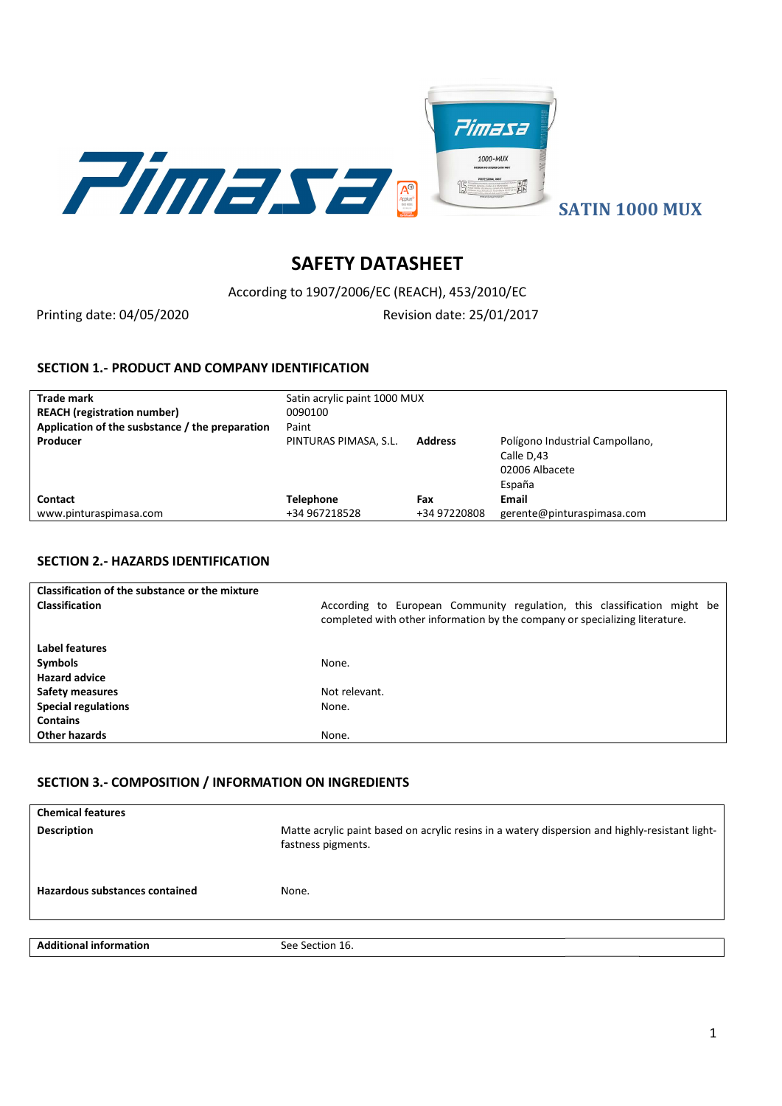

SATIN 1000 MUX

# SAFETY DATASHEET

According According to 1907/2006/EC (REACH), 453/2010/EC

Printing date: 04/05/2020

Revision date: 25/01/2017

#### SECTION 1.- PRODUCT AND COMPANY IDENTIFICATION

| <b>Trade mark</b><br><b>REACH</b> (registration number) | Satin acrylic paint 1000 MUX<br>0090100 |                |                                                                           |
|---------------------------------------------------------|-----------------------------------------|----------------|---------------------------------------------------------------------------|
| Application of the susbstance / the preparation         | Paint                                   |                |                                                                           |
| Producer                                                | PINTURAS PIMASA, S.L.                   | <b>Address</b> | Polígono Industrial Campollano,<br>Calle D.43<br>02006 Albacete<br>España |
| <b>Contact</b>                                          | Telephone                               | Fax            | Email                                                                     |
| www.pinturaspimasa.com                                  | +34 967218528                           | +34 97220808   | gerente@pinturaspimasa.com                                                |

# SECTION 2.- HAZARDS IDENTIFICATION

| Classification of the substance or the mixture              |                                                                                                                                                         |
|-------------------------------------------------------------|---------------------------------------------------------------------------------------------------------------------------------------------------------|
| <b>Classification</b>                                       | According to European Community regulation, this classification might be<br>completed with other information by the company or specializing literature. |
| Label features                                              |                                                                                                                                                         |
| <b>Symbols</b>                                              | None.                                                                                                                                                   |
| <b>Hazard advice</b>                                        |                                                                                                                                                         |
| <b>Safety measures</b>                                      | Not relevant.                                                                                                                                           |
| <b>Special regulations</b>                                  | None.                                                                                                                                                   |
| <b>Contains</b>                                             |                                                                                                                                                         |
| Other hazards                                               | None.                                                                                                                                                   |
| <b>SECTION 3.- COMPOSITION / INFORMATION ON INGREDIENTS</b> |                                                                                                                                                         |
| <b>Chemical features</b>                                    |                                                                                                                                                         |
| <b>Description</b>                                          | Matte acrylic paint based on acrylic resins in a watery dispersion and highly-resistant light-                                                          |

# SECTION 3.- COMPOSITION / INFORMATION ON INGREDIENTS

| <b>Chemical features</b>       |                                                                                                                      |
|--------------------------------|----------------------------------------------------------------------------------------------------------------------|
| <b>Description</b>             | Matte acrylic paint based on acrylic resins in a watery dispersion and highly-resistant light-<br>fastness pigments. |
| Hazardous substances contained | None.                                                                                                                |
|                                |                                                                                                                      |
| <b>Additional information</b>  | See Section 16.                                                                                                      |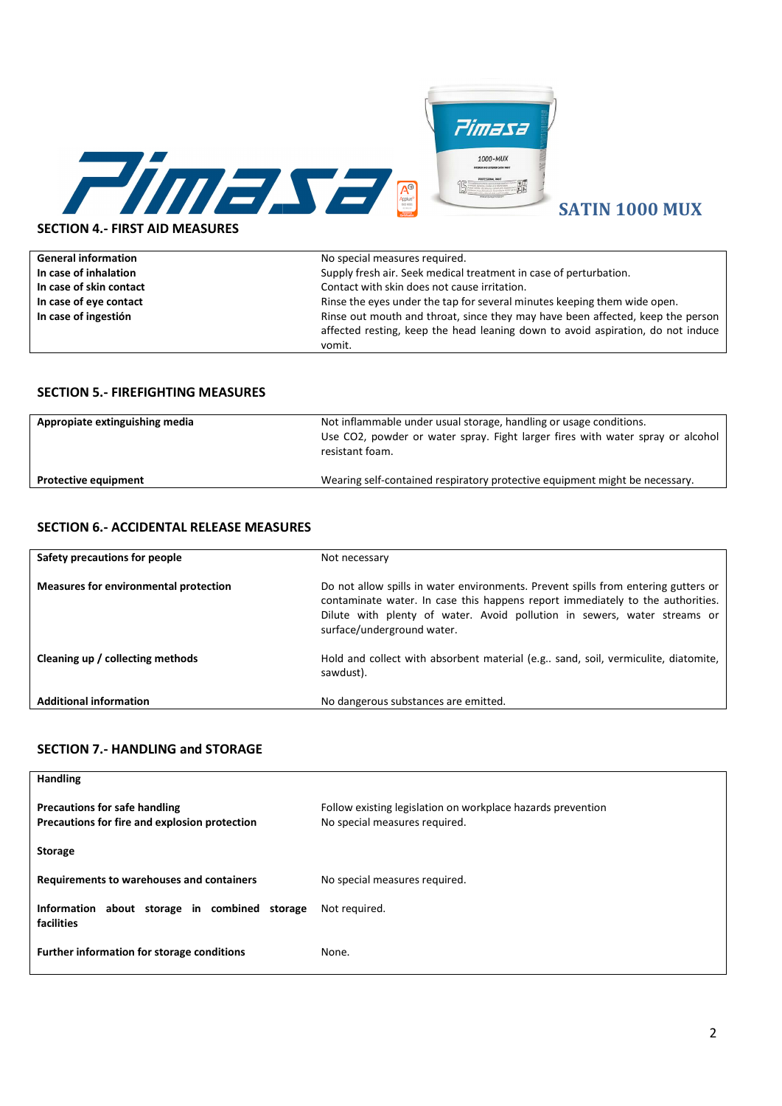

| <b>General information</b> | No special measures required.                                                   |
|----------------------------|---------------------------------------------------------------------------------|
| In case of inhalation      | Supply fresh air. Seek medical treatment in case of perturbation.               |
| In case of skin contact    | Contact with skin does not cause irritation.                                    |
| In case of eye contact     | Rinse the eyes under the tap for several minutes keeping them wide open.        |
| In case of ingestión       | Rinse out mouth and throat, since they may have been affected, keep the person  |
|                            | affected resting, keep the head leaning down to avoid aspiration, do not induce |
|                            | vomit.                                                                          |

#### SECTION 5.- FIREFIGHTING MEASURES

| Appropiate extinguishing media | Not inflammable under usual storage, handling or usage conditions.<br>Use CO2, powder or water spray. Fight larger fires with water spray or alcohol<br>resistant foam. |
|--------------------------------|-------------------------------------------------------------------------------------------------------------------------------------------------------------------------|
| <b>Protective equipment</b>    | Wearing self-contained respiratory protective equipment might be necessary.                                                                                             |

| <b>SECTION 6.- ACCIDENTAL RELEASE MEASURES</b> |  |  |
|------------------------------------------------|--|--|
|------------------------------------------------|--|--|

| Safety precautions for people                | Not necessary                                                                                                                                                                                                                                                                  |
|----------------------------------------------|--------------------------------------------------------------------------------------------------------------------------------------------------------------------------------------------------------------------------------------------------------------------------------|
| <b>Measures for environmental protection</b> | Do not allow spills in water environments. Prevent spills from entering gutters or<br>contaminate water. In case this happens report immediately to the authorities.<br>Dilute with plenty of water. Avoid pollution in sewers, water streams or<br>surface/underground water. |
| Cleaning up / collecting methods             | Hold and collect with absorbent material (e.g sand, soil, vermiculite, diatomite,<br>sawdust).                                                                                                                                                                                 |
| <b>Additional information</b>                | No dangerous substances are emitted.                                                                                                                                                                                                                                           |

#### SECTION 7.- HANDLING and STORAGE

| <b>Handling</b>                                                                       |                                                                                              |
|---------------------------------------------------------------------------------------|----------------------------------------------------------------------------------------------|
| <b>Precautions for safe handling</b><br>Precautions for fire and explosion protection | Follow existing legislation on workplace hazards prevention<br>No special measures required. |
| <b>Storage</b>                                                                        |                                                                                              |
| Requirements to warehouses and containers                                             | No special measures required.                                                                |
| Information about storage in combined storage<br>facilities                           | Not required.                                                                                |
| Further information for storage conditions                                            | None.                                                                                        |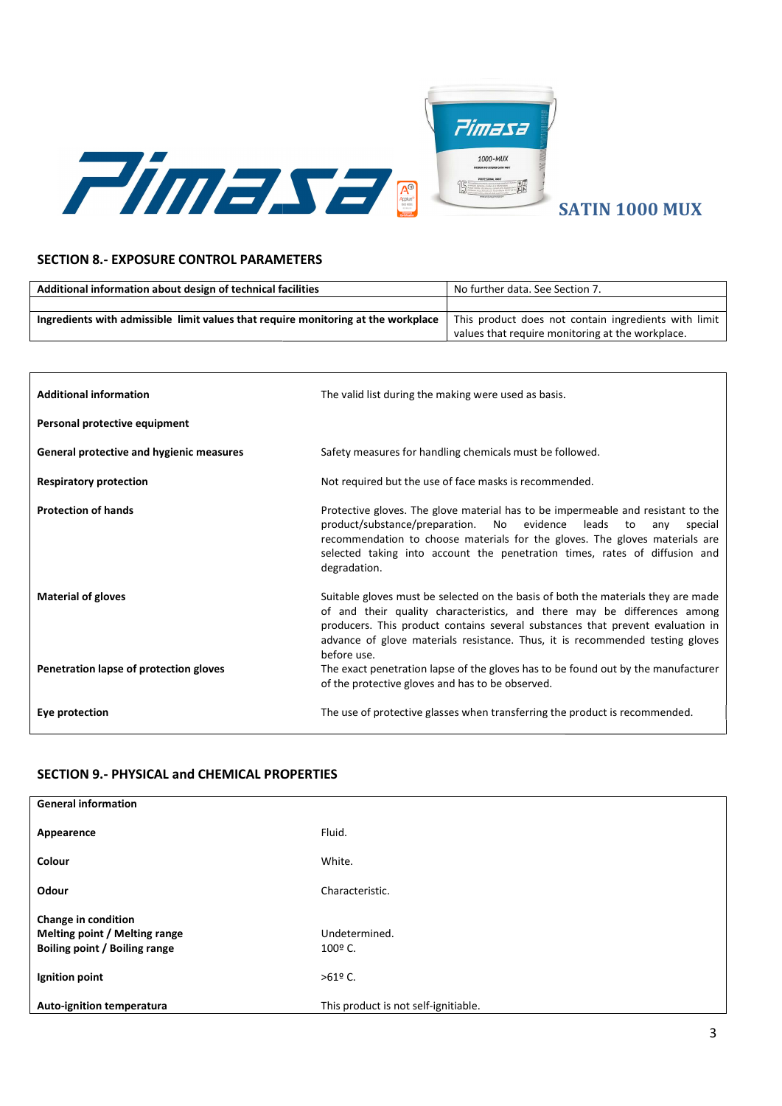

#### SECTION 8.- EXPOSURE CONTROL PARAMETERS

| Additional information about design of technical facilities                       | No further data. See Section 7.                      |
|-----------------------------------------------------------------------------------|------------------------------------------------------|
|                                                                                   |                                                      |
| Ingredients with admissible limit values that require monitoring at the workplace | This product does not contain ingredients with limit |
|                                                                                   | values that require monitoring at the workplace.     |

| <b>Additional information</b>            | The valid list during the making were used as basis.                                                                                                                                                                                                                                                                                            |
|------------------------------------------|-------------------------------------------------------------------------------------------------------------------------------------------------------------------------------------------------------------------------------------------------------------------------------------------------------------------------------------------------|
| Personal protective equipment            |                                                                                                                                                                                                                                                                                                                                                 |
| General protective and hygienic measures | Safety measures for handling chemicals must be followed.                                                                                                                                                                                                                                                                                        |
| <b>Respiratory protection</b>            | Not required but the use of face masks is recommended.                                                                                                                                                                                                                                                                                          |
| <b>Protection of hands</b>               | Protective gloves. The glove material has to be impermeable and resistant to the<br>product/substance/preparation. No evidence leads to<br>anv<br>special<br>recommendation to choose materials for the gloves. The gloves materials are<br>selected taking into account the penetration times, rates of diffusion and<br>degradation.          |
| <b>Material of gloves</b>                | Suitable gloves must be selected on the basis of both the materials they are made<br>of and their quality characteristics, and there may be differences among<br>producers. This product contains several substances that prevent evaluation in<br>advance of glove materials resistance. Thus, it is recommended testing gloves<br>before use. |
| Penetration lapse of protection gloves   | The exact penetration lapse of the gloves has to be found out by the manufacturer<br>of the protective gloves and has to be observed.                                                                                                                                                                                                           |
| Eye protection                           | The use of protective glasses when transferring the product is recommended.                                                                                                                                                                                                                                                                     |

#### SECTION 9.- PHYSICAL and CHEMICAL PROPERTIES

| <b>General information</b>                                                            |                                      |
|---------------------------------------------------------------------------------------|--------------------------------------|
| Appearence                                                                            | Fluid.                               |
| Colour                                                                                | White.                               |
| Odour                                                                                 | Characteristic.                      |
| Change in condition<br>Melting point / Melting range<br>Boiling point / Boiling range | Undetermined.<br>100º C.             |
| Ignition point                                                                        | $>61^{\circ}$ C.                     |
| Auto-ignition temperatura                                                             | This product is not self-ignitiable. |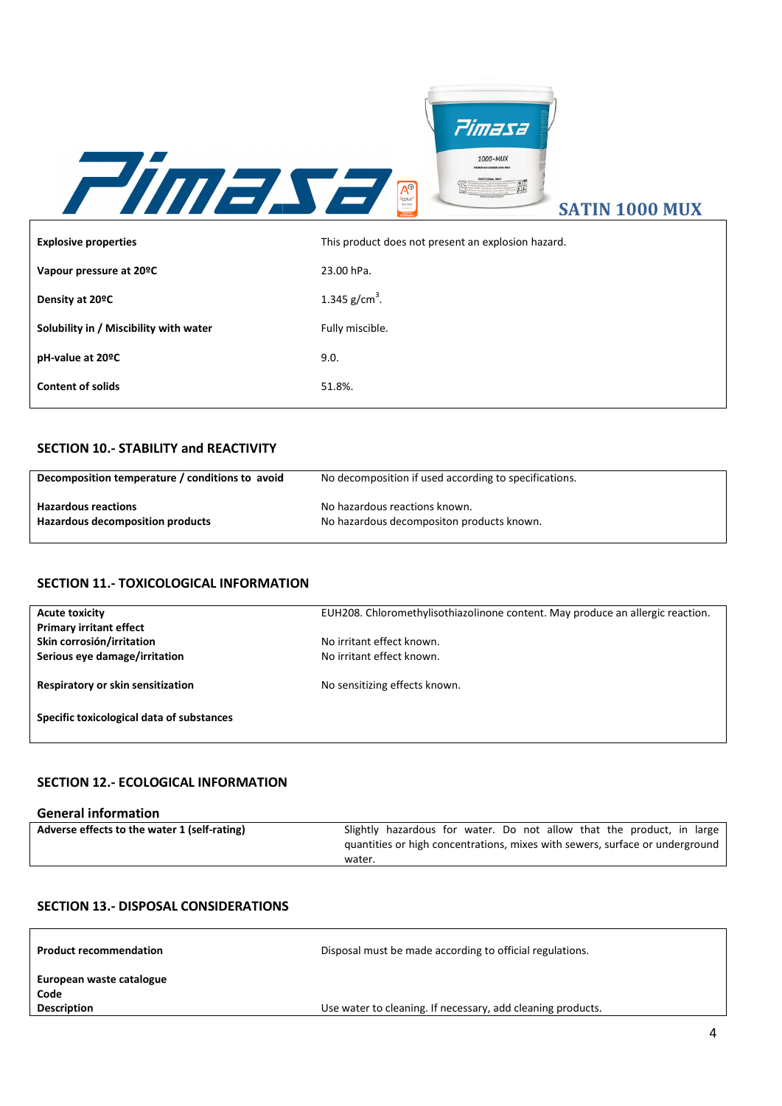

# SATIN 1000 MUX

| <b>Explosive properties</b>                     | This product does not present an explosion hazard.    |
|-------------------------------------------------|-------------------------------------------------------|
| Vapour pressure at 20°C                         | 23.00 hPa.                                            |
| Density at 20°C                                 | 1.345 $g/cm^3$ .                                      |
| Solubility in / Miscibility with water          | Fully miscible.                                       |
| pH-value at 20 <sup>o</sup> C                   | 9.0.                                                  |
| <b>Content of solids</b>                        | 51.8%.                                                |
|                                                 |                                                       |
| <b>SECTION 10.- STABILITY and REACTIVITY</b>    |                                                       |
| Decomposition temperature / conditions to avoid | No decomposition if used according to specifications. |

# SECTION 10.- STABILITY and REACTIVITY

| Decomposition temperature / conditions to avoid | No decomposition if used according to specifications. |  |
|-------------------------------------------------|-------------------------------------------------------|--|
| <b>Hazardous reactions</b>                      | No hazardous reactions known.                         |  |
| Hazardous decomposition products                | No hazardous decompositon products known.             |  |

# SECTION 11.- TOXICOLOGICAL INFORMATION

| <b>Acute toxicity</b>                        | EUH208. Chloromethylisothiazolinone content. May produce an allergic reaction. |
|----------------------------------------------|--------------------------------------------------------------------------------|
| <b>Primary irritant effect</b>               |                                                                                |
| Skin corrosión/irritation                    | No irritant effect known.                                                      |
| Serious eye damage/irritation                | No irritant effect known.                                                      |
| Respiratory or skin sensitization            | No sensitizing effects known.                                                  |
| Specific toxicological data of substances    |                                                                                |
|                                              |                                                                                |
| <b>SECTION 12.- ECOLOGICAL INFORMATION</b>   |                                                                                |
| <b>General information</b>                   |                                                                                |
| Adverse effects to the water 1 (self-rating) | Slightly hazardous for water. Do not allow that the product, in large          |

# SECTION 12.- ECOLOGICAL INFORMATION

# General information

| Adverse effects to the water 1 (self-rating) | Slightly hazardous for water. Do not allow that the product, in large        |
|----------------------------------------------|------------------------------------------------------------------------------|
|                                              | quantities or high concentrations, mixes with sewers, surface or underground |
|                                              | water.                                                                       |

#### SECTION 13.- DISPOSAL CONSIDERATIONS

| <b>Product recommendation</b>                          | Disposal must be made according to official regulations.    |
|--------------------------------------------------------|-------------------------------------------------------------|
| European waste catalogue<br>Code<br><b>Description</b> | Use water to cleaning. If necessary, add cleaning products. |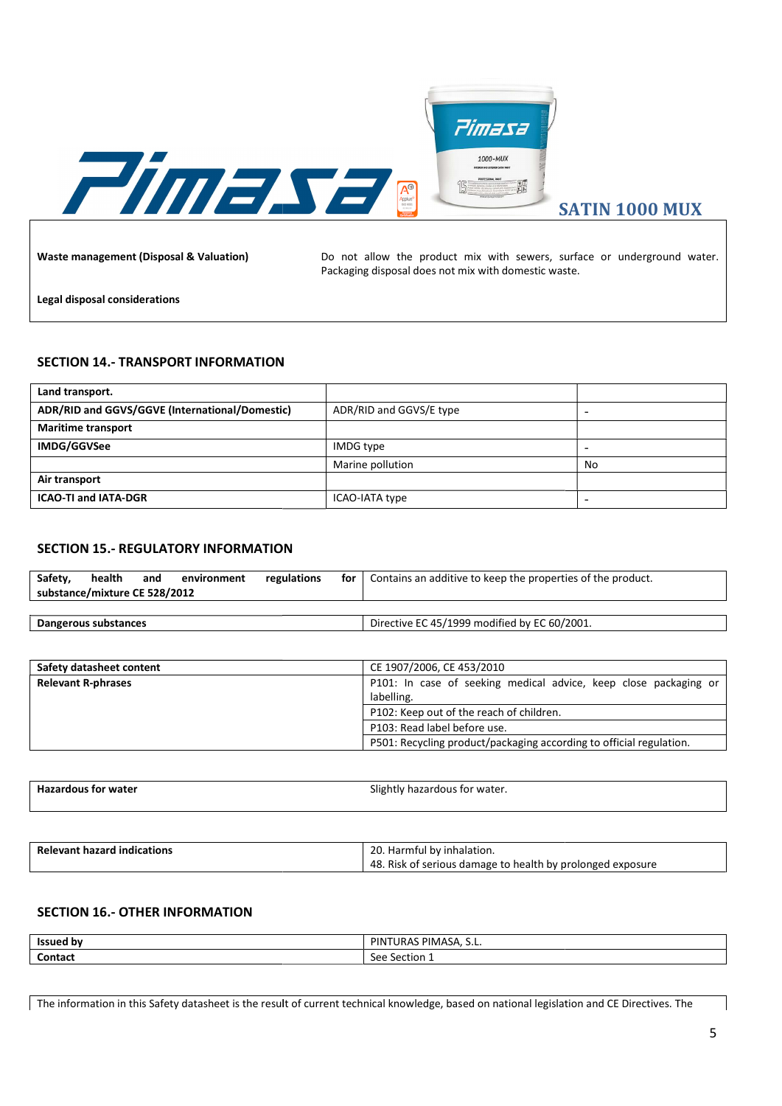

# SECTION 14.- TRANSPORT INFORMATION

|                                                                                                                                             |           |                                                                                                                                 | <b>SATIN 1000 MUX</b>    |
|---------------------------------------------------------------------------------------------------------------------------------------------|-----------|---------------------------------------------------------------------------------------------------------------------------------|--------------------------|
| <b>Waste management (Disposal &amp; Valuation)</b>                                                                                          |           | Do not allow the product mix with sewers, surface or underground water.<br>Packaging disposal does not mix with domestic waste. |                          |
| Legal disposal considerations                                                                                                               |           |                                                                                                                                 |                          |
| <b>SECTION 14.- TRANSPORT INFORMATION</b>                                                                                                   |           |                                                                                                                                 |                          |
| Land transport.                                                                                                                             |           |                                                                                                                                 |                          |
| ADR/RID and GGVS/GGVE (International/Domestic)                                                                                              |           | ADR/RID and GGVS/E type                                                                                                         | $\overline{a}$           |
| <b>Maritime transport</b>                                                                                                                   |           |                                                                                                                                 |                          |
| IMDG/GGVSee                                                                                                                                 | IMDG type |                                                                                                                                 | $\overline{\phantom{a}}$ |
|                                                                                                                                             |           | Marine pollution                                                                                                                | No                       |
| Air transport                                                                                                                               |           |                                                                                                                                 |                          |
| <b>ICAO-TI and IATA-DGR</b>                                                                                                                 |           | ICAO-IATA type                                                                                                                  | $\overline{\phantom{a}}$ |
| <b>SECTION 15.- REGULATORY INFORMATION</b>                                                                                                  |           |                                                                                                                                 |                          |
| health<br>Safety,<br>and<br>regulations<br>environment<br>substance/mixture CE 528/2012                                                     | for       | Contains an additive to keep the properties of the product.                                                                     |                          |
| <b>Dangerous substances</b>                                                                                                                 |           | Directive EC 45/1999 modified by EC 60/2001.                                                                                    |                          |
|                                                                                                                                             |           |                                                                                                                                 |                          |
| Safety datasheet content                                                                                                                    |           | CE 1907/2006, CE 453/2010                                                                                                       |                          |
| <b>Relevant R-phrases</b>                                                                                                                   |           | P101: In case of seeking medical advice, keep close packaging or                                                                |                          |
|                                                                                                                                             |           | labelling.                                                                                                                      |                          |
|                                                                                                                                             |           | P102: Keep out of the reach of children.                                                                                        |                          |
|                                                                                                                                             |           | P103: Read label before use.<br>P501: Recycling product/packaging according to official regulation.                             |                          |
|                                                                                                                                             |           |                                                                                                                                 |                          |
|                                                                                                                                             |           |                                                                                                                                 |                          |
| <b>Hazardous for water</b>                                                                                                                  |           | Slightly hazardous for water.                                                                                                   |                          |
|                                                                                                                                             |           |                                                                                                                                 |                          |
| <b>Relevant hazard indications</b>                                                                                                          |           | 20. Harmful by inhalation.                                                                                                      |                          |
|                                                                                                                                             |           | 48. Risk of serious damage to health by prolonged exposure                                                                      |                          |
| <b>SECTION 16.- OTHER INFORMATION</b>                                                                                                       |           |                                                                                                                                 |                          |
| <b>Issued by</b>                                                                                                                            |           | PINTURAS PIMASA, S.L.                                                                                                           |                          |
| Contact                                                                                                                                     |           | See Section 1                                                                                                                   |                          |
|                                                                                                                                             |           |                                                                                                                                 |                          |
| The information in this Safety datasheet is the result of current technical knowledge, based on national legislation and CE Directives. The |           |                                                                                                                                 |                          |

#### SECTION 15.- REGULATORY INFORMATION

| Safety, | health<br>substance/mixture CE 528/2012 | and | environment | regulations | for | Contains an additive to keep the properties of the product. |
|---------|-----------------------------------------|-----|-------------|-------------|-----|-------------------------------------------------------------|
|         |                                         |     |             |             |     |                                                             |
|         | Dangerous substances                    |     |             |             |     | Directive EC 45/1999 modified by EC 60/2001.                |

| Safety datasheet content  | CE 1907/2006, CE 453/2010                                                      |
|---------------------------|--------------------------------------------------------------------------------|
| <b>Relevant R-phrases</b> | P101: In case of seeking medical advice, keep close packaging or<br>labelling. |
|                           | P102: Keep out of the reach of children.                                       |
|                           | P103: Read label before use.                                                   |
|                           | P501: Recycling product/packaging according to official regulation.            |

| <b>Hazardous for</b><br>; for water | , hazardous for water.<br>sligh<br>עוזו |
|-------------------------------------|-----------------------------------------|
|                                     |                                         |

| <b>Relevant hazard indications</b> | 20. Harmful by inhalation.                                 |
|------------------------------------|------------------------------------------------------------|
|                                    | 48. Risk of serious damage to health by prolonged exposure |

# SECTION 16.- OTHER INFORMATION

| <b>Issued by</b> | $\sim$ $\sim$ PIMASA, S.L.<br>PIN <sup>-</sup><br>'URAS<br>$ -$ |
|------------------|-----------------------------------------------------------------|
| Contact          | Section 1<br>See                                                |

The information in this Safety datasheet is the result of current technical knowledge, based on national legislation and CE Directives. The